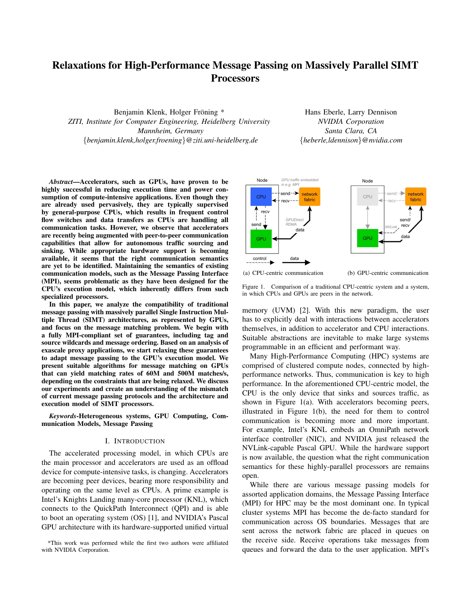# Relaxations for High-Performance Message Passing on Massively Parallel SIMT **Processors**

Benjamin Klenk, Holger Fröning \* *ZITI, Institute for Computer Engineering, Heidelberg University Mannheim, Germany {benjamin.klenk,holger.froening}@ziti.uni-heidelberg.de*

Hans Eberle, Larry Dennison *NVIDIA Corporation Santa Clara, CA {heberle,ldennison}@nvidia.com*

*Abstract*—Accelerators, such as GPUs, have proven to be highly successful in reducing execution time and power consumption of compute-intensive applications. Even though they are already used pervasively, they are typically supervised by general-purpose CPUs, which results in frequent control flow switches and data transfers as CPUs are handling all communication tasks. However, we observe that accelerators are recently being augmented with peer-to-peer communication capabilities that allow for autonomous traffic sourcing and sinking. While appropriate hardware support is becoming available, it seems that the right communication semantics are yet to be identified. Maintaining the semantics of existing communication models, such as the Message Passing Interface (MPI), seems problematic as they have been designed for the CPU's execution model, which inherently differs from such specialized processors.

In this paper, we analyze the compatibility of traditional message passing with massively parallel Single Instruction Multiple Thread (SIMT) architectures, as represented by GPUs, and focus on the message matching problem. We begin with a fully MPI-compliant set of guarantees, including tag and source wildcards and message ordering. Based on an analysis of exascale proxy applications, we start relaxing these guarantees to adapt message passing to the GPU's execution model. We present suitable algorithms for message matching on GPUs that can yield matching rates of 60M and 500M matches/s, depending on the constraints that are being relaxed. We discuss our experiments and create an understanding of the mismatch of current message passing protocols and the architecture and execution model of SIMT processors.

*Keywords*-Heterogeneous systems, GPU Computing, Communication Models, Message Passing

#### I. INTRODUCTION

The accelerated processing model, in which CPUs are the main processor and accelerators are used as an offload device for compute-intensive tasks, is changing. Accelerators are becoming peer devices, bearing more responsibility and operating on the same level as CPUs. A prime example is Intel's Knights Landing many-core processor (KNL), which connects to the QuickPath Interconnect (QPI) and is able to boot an operating system (OS) [1], and NVIDIA's Pascal GPU architecture with its hardware-supported unified virtual

\*This work was performed while the first two authors were affiliated with NVIDIA Corporation.



(a) CPU-centric communication (b) GPU-centric communication

Figure 1. Comparison of a traditional CPU-centric system and a system, in which CPUs and GPUs are peers in the network.

memory (UVM) [2]. With this new paradigm, the user has to explicitly deal with interactions between accelerators themselves, in addition to accelerator and CPU interactions. Suitable abstractions are inevitable to make large systems programmable in an efficient and performant way.

Many High-Performance Computing (HPC) systems are comprised of clustered compute nodes, connected by highperformance networks. Thus, communication is key to high performance. In the aforementioned CPU-centric model, the CPU is the only device that sinks and sources traffic, as shown in Figure 1(a). With accelerators becoming peers, illustrated in Figure 1(b), the need for them to control communication is becoming more and more important. For example, Intel's KNL embeds an OmniPath network interface controller (NIC), and NVIDIA just released the NVLink-capable Pascal GPU. While the hardware support is now available, the question what the right communication semantics for these highly-parallel processors are remains open.

While there are various message passing models for assorted application domains, the Message Passing Interface (MPI) for HPC may be the most dominant one. In typical cluster systems MPI has become the de-facto standard for communication across OS boundaries. Messages that are sent across the network fabric are placed in queues on the receive side. Receive operations take messages from queues and forward the data to the user application. MPI's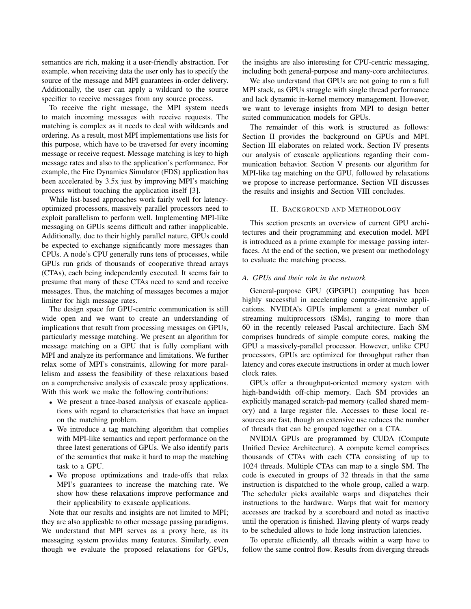semantics are rich, making it a user-friendly abstraction. For example, when receiving data the user only has to specify the source of the message and MPI guarantees in-order delivery. Additionally, the user can apply a wildcard to the source specifier to receive messages from any source process.

To receive the right message, the MPI system needs to match incoming messages with receive requests. The matching is complex as it needs to deal with wildcards and ordering. As a result, most MPI implementations use lists for this purpose, which have to be traversed for every incoming message or receive request. Message matching is key to high message rates and also to the application's performance. For example, the Fire Dynamics Simulator (FDS) application has been accelerated by 3.5x just by improving MPI's matching process without touching the application itself [3].

While list-based approaches work fairly well for latencyoptimized processors, massively parallel processors need to exploit parallelism to perform well. Implementing MPI-like messaging on GPUs seems difficult and rather inapplicable. Additionally, due to their highly parallel nature, GPUs could be expected to exchange significantly more messages than CPUs. A node's CPU generally runs tens of processes, while GPUs run grids of thousands of cooperative thread arrays (CTAs), each being independently executed. It seems fair to presume that many of these CTAs need to send and receive messages. Thus, the matching of messages becomes a major limiter for high message rates.

The design space for GPU-centric communication is still wide open and we want to create an understanding of implications that result from processing messages on GPUs, particularly message matching. We present an algorithm for message matching on a GPU that is fully compliant with MPI and analyze its performance and limitations. We further relax some of MPI's constraints, allowing for more parallelism and assess the feasibility of these relaxations based on a comprehensive analysis of exascale proxy applications. With this work we make the following contributions:

- *•* We present a trace-based analysis of exascale applications with regard to characteristics that have an impact on the matching problem.
- We introduce a tag matching algorithm that complies with MPI-like semantics and report performance on the three latest generations of GPUs. We also identify parts of the semantics that make it hard to map the matching task to a GPU.
- *•* We propose optimizations and trade-offs that relax MPI's guarantees to increase the matching rate. We show how these relaxations improve performance and their applicability to exascale applications.

Note that our results and insights are not limited to MPI; they are also applicable to other message passing paradigms. We understand that MPI serves as a proxy here, as its messaging system provides many features. Similarly, even though we evaluate the proposed relaxations for GPUs, the insights are also interesting for CPU-centric messaging, including both general-purpose and many-core architectures.

We also understand that GPUs are not going to run a full MPI stack, as GPUs struggle with single thread performance and lack dynamic in-kernel memory management. However, we want to leverage insights from MPI to design better suited communication models for GPUs.

The remainder of this work is structured as follows: Section II provides the background on GPUs and MPI. Section III elaborates on related work. Section IV presents our analysis of exascale applications regarding their communication behavior. Section V presents our algorithm for MPI-like tag matching on the GPU, followed by relaxations we propose to increase performance. Section VII discusses the results and insights and Section VIII concludes.

# II. BACKGROUND AND METHODOLOGY

This section presents an overview of current GPU architectures and their programming and execution model. MPI is introduced as a prime example for message passing interfaces. At the end of the section, we present our methodology to evaluate the matching process.

## *A. GPUs and their role in the network*

General-purpose GPU (GPGPU) computing has been highly successful in accelerating compute-intensive applications. NVIDIA's GPUs implement a great number of streaming multiprocessors (SMs), ranging to more than 60 in the recently released Pascal architecture. Each SM comprises hundreds of simple compute cores, making the GPU a massively-parallel processor. However, unlike CPU processors, GPUs are optimized for throughput rather than latency and cores execute instructions in order at much lower clock rates.

GPUs offer a throughput-oriented memory system with high-bandwidth off-chip memory. Each SM provides an explicitly managed scratch-pad memory (called shared memory) and a large register file. Accesses to these local resources are fast, though an extensive use reduces the number of threads that can be grouped together on a CTA.

NVIDIA GPUs are programmed by CUDA (Compute Unified Device Architecture). A compute kernel comprises thousands of CTAs with each CTA consisting of up to 1024 threads. Multiple CTAs can map to a single SM. The code is executed in groups of 32 threads in that the same instruction is dispatched to the whole group, called a warp. The scheduler picks available warps and dispatches their instructions to the hardware. Warps that wait for memory accesses are tracked by a scoreboard and noted as inactive until the operation is finished. Having plenty of warps ready to be scheduled allows to hide long instruction latencies.

To operate efficiently, all threads within a warp have to follow the same control flow. Results from diverging threads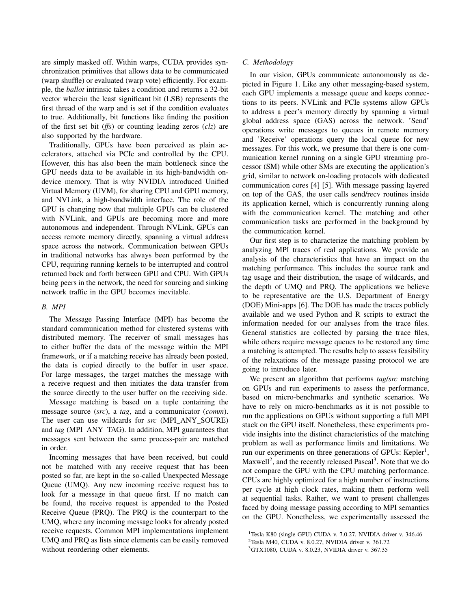are simply masked off. Within warps, CUDA provides synchronization primitives that allows data to be communicated (warp shuffle) or evaluated (warp vote) efficiently. For example, the *ballot* intrinsic takes a condition and returns a 32-bit vector wherein the least significant bit (LSB) represents the first thread of the warp and is set if the condition evaluates to true. Additionally, bit functions like finding the position of the first set bit (*ffs*) or counting leading zeros (*clz*) are also supported by the hardware.

Traditionally, GPUs have been perceived as plain accelerators, attached via PCIe and controlled by the CPU. However, this has also been the main bottleneck since the GPU needs data to be available in its high-bandwidth ondevice memory. That is why NVIDIA introduced Unified Virtual Memory (UVM), for sharing CPU and GPU memory, and NVLink, a high-bandwidth interface. The role of the GPU is changing now that multiple GPUs can be clustered with NVLink, and GPUs are becoming more and more autonomous and independent. Through NVLink, GPUs can access remote memory directly, spanning a virtual address space across the network. Communication between GPUs in traditional networks has always been performed by the CPU, requiring running kernels to be interrupted and control returned back and forth between GPU and CPU. With GPUs being peers in the network, the need for sourcing and sinking network traffic in the GPU becomes inevitable.

#### *B. MPI*

The Message Passing Interface (MPI) has become the standard communication method for clustered systems with distributed memory. The receiver of small messages has to either buffer the data of the message within the MPI framework, or if a matching receive has already been posted, the data is copied directly to the buffer in user space. For large messages, the target matches the message with a receive request and then initiates the data transfer from the source directly to the user buffer on the receiving side.

Message matching is based on a tuple containing the message source (*src*), a *tag*, and a communicator (*comm*). The user can use wildcards for *src* (MPI\_ANY\_SOURE) and *tag* (MPI\_ANY\_TAG). In addition, MPI guarantees that messages sent between the same process-pair are matched in order.

Incoming messages that have been received, but could not be matched with any receive request that has been posted so far, are kept in the so-called Unexpected Message Queue (UMQ). Any new incoming receive request has to look for a message in that queue first. If no match can be found, the receive request is appended to the Posted Receive Queue (PRQ). The PRQ is the counterpart to the UMQ, where any incoming message looks for already posted receive requests. Common MPI implementations implement UMQ and PRQ as lists since elements can be easily removed without reordering other elements.

#### *C. Methodology*

In our vision, GPUs communicate autonomously as depicted in Figure 1. Like any other messaging-based system, each GPU implements a message queue and keeps connections to its peers. NVLink and PCIe systems allow GPUs to address a peer's memory directly by spanning a virtual global address space (GAS) across the network. 'Send' operations write messages to queues in remote memory and 'Receive' operations query the local queue for new messages. For this work, we presume that there is one communication kernel running on a single GPU streaming processor (SM) while other SMs are executing the application's grid, similar to network on-loading protocols with dedicated communication cores [4] [5]. With message passing layered on top of the GAS, the user calls send/recv routines inside its application kernel, which is concurrently running along with the communication kernel. The matching and other communication tasks are performed in the background by the communication kernel.

Our first step is to characterize the matching problem by analyzing MPI traces of real applications. We provide an analysis of the characteristics that have an impact on the matching performance. This includes the source rank and tag usage and their distribution, the usage of wildcards, and the depth of UMQ and PRQ. The applications we believe to be representative are the U.S. Department of Energy (DOE) Mini-apps [6]. The DOE has made the traces publicly available and we used Python and R scripts to extract the information needed for our analyses from the trace files. General statistics are collected by parsing the trace files, while others require message queues to be restored any time a matching is attempted. The results help to assess feasibility of the relaxations of the message passing protocol we are going to introduce later.

We present an algorithm that performs *tag*/*src* matching on GPUs and run experiments to assess the performance, based on micro-benchmarks and synthetic scenarios. We have to rely on micro-benchmarks as it is not possible to run the applications on GPUs without supporting a full MPI stack on the GPU itself. Nonetheless, these experiments provide insights into the distinct characteristics of the matching problem as well as performance limits and limitations. We run our experiments on three generations of GPUs: Kepler<sup>1</sup>, Maxwell<sup>2</sup>, and the recently released Pascal<sup>3</sup>. Note that we do not compare the GPU with the CPU matching performance. CPUs are highly optimized for a high number of instructions per cycle at high clock rates, making them perform well at sequential tasks. Rather, we want to present challenges faced by doing message passing according to MPI semantics on the GPU. Nonetheless, we experimentally assessed the

<sup>&</sup>lt;sup>1</sup>Tesla K80 (single GPU) CUDA v. 7.0.27, NVIDIA driver v. 346.46

<sup>2</sup>Tesla M40, CUDA v. 8.0.27, NVIDIA driver v. 361.72

<sup>3</sup>GTX1080, CUDA v. 8.0.23, NVIDIA driver v. 367.35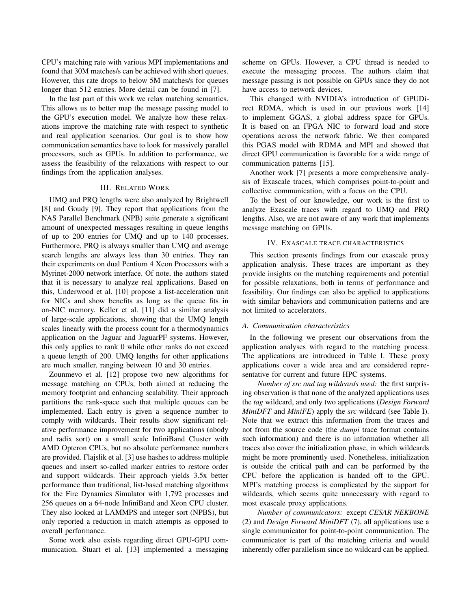CPU's matching rate with various MPI implementations and found that 30M matches/s can be achieved with short queues. However, this rate drops to below 5M matches/s for queues longer than 512 entries. More detail can be found in [7].

In the last part of this work we relax matching semantics. This allows us to better map the message passing model to the GPU's execution model. We analyze how these relaxations improve the matching rate with respect to synthetic and real application scenarios. Our goal is to show how communication semantics have to look for massively parallel processors, such as GPUs. In addition to performance, we assess the feasibility of the relaxations with respect to our findings from the application analyses.

#### III. RELATED WORK

UMQ and PRQ lengths were also analyzed by Brightwell [8] and Goudy [9]. They report that applications from the NAS Parallel Benchmark (NPB) suite generate a significant amount of unexpected messages resulting in queue lengths of up to 200 entries for UMQ and up to 140 processes. Furthermore, PRQ is always smaller than UMQ and average search lengths are always less than 30 entries. They ran their experiments on dual Pentium 4 Xeon Processors with a Myrinet-2000 network interface. Of note, the authors stated that it is necessary to analyze real applications. Based on this, Underwood et al. [10] propose a list-acceleration unit for NICs and show benefits as long as the queue fits in on-NIC memory. Keller et al. [11] did a similar analysis of large-scale applications, showing that the UMQ length scales linearly with the process count for a thermodynamics application on the Jaguar and JaguarPF systems. However, this only applies to rank 0 while other ranks do not exceed a queue length of 200. UMQ lengths for other applications are much smaller, ranging between 10 and 30 entries.

Zounmevo et al. [12] propose two new algorithms for message matching on CPUs, both aimed at reducing the memory footprint and enhancing scalability. Their approach partitions the rank-space such that multiple queues can be implemented. Each entry is given a sequence number to comply with wildcards. Their results show significant relative performance improvement for two applications (nbody and radix sort) on a small scale InfiniBand Cluster with AMD Opteron CPUs, but no absolute performance numbers are provided. Flajslik et al. [3] use hashes to address multiple queues and insert so-called marker entries to restore order and support wildcards. Their approach yields 3.5x better performance than traditional, list-based matching algorithms for the Fire Dynamics Simulator with 1,792 processes and 256 queues on a 64-node InfiniBand and Xeon CPU cluster. They also looked at LAMMPS and integer sort (NPBS), but only reported a reduction in match attempts as opposed to overall performance.

Some work also exists regarding direct GPU-GPU communication. Stuart et al. [13] implemented a messaging scheme on GPUs. However, a CPU thread is needed to execute the messaging process. The authors claim that message passing is not possible on GPUs since they do not have access to network devices.

This changed with NVIDIA's introduction of GPUDirect RDMA, which is used in our previous work [14] to implement GGAS, a global address space for GPUs. It is based on an FPGA NIC to forward load and store operations across the network fabric. We then compared this PGAS model with RDMA and MPI and showed that direct GPU communication is favorable for a wide range of communication patterns [15].

Another work [7] presents a more comprehensive analysis of Exascale traces, which comprises point-to-point and collective communication, with a focus on the CPU.

To the best of our knowledge, our work is the first to analyze Exascale traces with regard to UMQ and PRQ lengths. Also, we are not aware of any work that implements message matching on GPUs.

#### IV. EXASCALE TRACE CHARACTERISTICS

This section presents findings from our exascale proxy application analysis. These traces are important as they provide insights on the matching requirements and potential for possible relaxations, both in terms of performance and feasibility. Our findings can also be applied to applications with similar behaviors and communication patterns and are not limited to accelerators.

#### *A. Communication characteristics*

In the following we present our observations from the application analyses with regard to the matching process. The applications are introduced in Table I. These proxy applications cover a wide area and are considered representative for current and future HPC systems.

*Number of src and tag wildcards used:* the first surprising observation is that none of the analyzed applications uses the *tag* wildcard, and only two applications (*Design Forward MiniDFT* and *MiniFE*) apply the *src* wildcard (see Table I). Note that we extract this information from the traces and not from the source code (the *dumpi* trace format contains such information) and there is no information whether all traces also cover the initialization phase, in which wildcards might be more prominently used. Nonetheless, initialization is outside the critical path and can be performed by the CPU before the application is handed off to the GPU. MPI's matching process is complicated by the support for wildcards, which seems quite unnecessary with regard to most exascale proxy applications.

*Number of communicators:* except *CESAR NEKBONE* (2) and *Design Forward MiniDFT* (7), all applications use a single communicator for point-to-point communication. The communicator is part of the matching criteria and would inherently offer parallelism since no wildcard can be applied.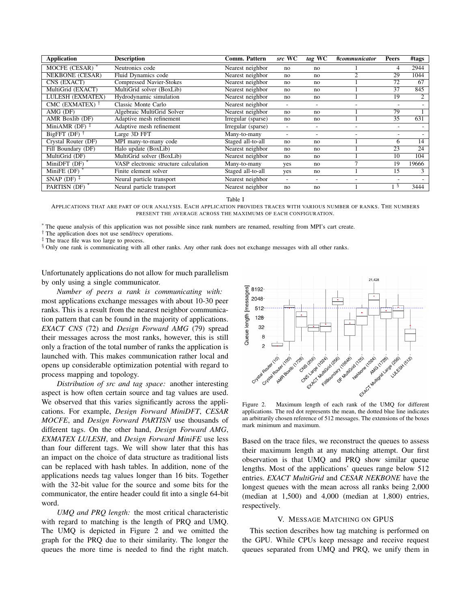| <b>Application</b>           | <b>Description</b>                    | Comm. Pattern<br>src WC      |                          | tag WC | #communicator | Peers | #tags           |
|------------------------------|---------------------------------------|------------------------------|--------------------------|--------|---------------|-------|-----------------|
| MOCFE $(CESAR)$ <sup>*</sup> | Neutronics code                       | Nearest neighbor             | no                       | no     |               | 4     | 2944            |
| <b>NEKBONE</b> (CESAR)       | Fluid Dynamics code                   | Nearest neighbor             | no                       | no     | ◠             | 29    | 1044            |
| CNS (EXACT)                  | Compressed Navier-Stokes              | Nearest neighbor             | no                       | no     |               | 72    | 67              |
| MultiGrid (EXACT)            | MultiGrid solver (BoxLib)             | Nearest neighbor<br>no<br>no |                          |        |               | 37    | 845             |
| LULESH (EXMATEX)             | Hydrodynamic simulation               | Nearest neighbor<br>no       |                          | no     |               | 19    | $\overline{c}$  |
| CMC (EXMATEX) <sup>1</sup>   | Classic Monte Carlo                   | Nearest neighbor             |                          |        |               |       |                 |
| $AMG$ ( $DF$ )               | Algebraic MultiGrid Solver            | Nearest neighbor             | no                       | no     |               | 79    |                 |
| AMR Boxlib (DF)              | Adaptive mesh refinement              | Irregular (sparse)           | no<br>no                 |        |               | 35    | 631             |
| MiniAMR (DF) $\ddagger$      | Adaptive mesh refinement              | Irregular (sparse)           | $\overline{\phantom{a}}$ |        |               |       |                 |
| BigFFT (DF) $\dagger$        | Large 3D FFT                          | Many-to-many                 | -                        |        |               |       |                 |
| Crystal Router (DF)          | MPI many-to-many code                 | Staged all-to-all            | no<br>no                 |        |               | 6     | 14              |
| Fill Boundary (DF)           | Halo update (BoxLib)                  | Nearest neighbor             | no                       | no     |               | 23    | $\overline{24}$ |
| MultiGrid (DF)               | MultiGrid solver (BoxLib)             | Nearest neighbor             | no                       | no     |               | 10    | 104             |
| MiniDFT (DF)                 | VASP electronic structure calculation | Many-to-many                 | yes                      | no     |               | 19    | 19666           |
| MiniFE (DF)                  | Finite element solver                 | Staged all-to-all            | yes                      | no     |               | 15    | 3               |
| SNAP (DF) $‡$                | Neural particle transport             | Nearest neighbor             | ٠                        | -      |               |       |                 |
| PARTISN (DF)                 | Neural particle transport             | Nearest neighbor             | no                       | no     |               | -3    | 3444            |

Table I

APPLICATIONS THAT ARE PART OF OUR ANALYSIS. EACH APPLICATION PROVIDES TRACES WITH VARIOUS NUMBER OF RANKS. THE NUMBERS PRESENT THE AVERAGE ACROSS THE MAXIMUMS OF EACH CONFIGURATION.

\* The queue analysis of this application was not possible since rank numbers are renamed, resulting from MPI's cart create.

*†* The application does not use send/recv operations.

*‡* The trace file was too large to process.

*§* Only one rank is communicating with all other ranks. Any other rank does not exchange messages with all other ranks.

Unfortunately applications do not allow for much parallelism by only using a single communicator.

*Number of peers a rank is communicating with:* most applications exchange messages with about 10-30 peer ranks. This is a result from the nearest neighbor communication pattern that can be found in the majority of applications. *EXACT CNS* (72) and *Design Forward AMG* (79) spread their messages across the most ranks, however, this is still only a fraction of the total number of ranks the application is launched with. This makes communication rather local and opens up considerable optimization potential with regard to process mapping and topology.

*Distribution of src and tag space:* another interesting aspect is how often certain source and tag values are used. We observed that this varies significantly across the applications. For example, *Design Forward MiniDFT*, *CESAR MOCFE*, and *Design Forward PARTISN* use thousands of different tags. On the other hand, *Design Forward AMG*, *EXMATEX LULESH*, and *Design Forward MiniFE* use less than four different tags. We will show later that this has an impact on the choice of data structure as traditional lists can be replaced with hash tables. In addition, none of the applications needs tag values longer than 16 bits. Together with the 32-bit value for the source and some bits for the communicator, the entire header could fit into a single 64-bit word.

*UMQ and PRQ length:* the most critical characteristic with regard to matching is the length of PRQ and UMQ. The UMQ is depicted in Figure 2 and we omitted the graph for the PRQ due to their similarity. The longer the queues the more time is needed to find the right match.



applications. The red dot represents the mean, the dotted blue line indicates an arbitrarily chosen reference of 512 messages. The extensions of the boxes mark minimum and maximum.

Based on the trace files, we reconstruct the queues to assess their maximum length at any matching attempt. Our first observation is that UMQ and PRQ show similar queue lengths. Most of the applications' queues range below 512 entries. *EXACT MultiGrid* and *CESAR NEKBONE* have the longest queues with the mean across all ranks being 2,000 (median at 1,500) and 4,000 (median at 1,800) entries, respectively.

## V. MESSAGE MATCHING ON GPUS

This section describes how tag matching is performed on the GPU. While CPUs keep message and receive request queues separated from UMQ and PRQ, we unify them in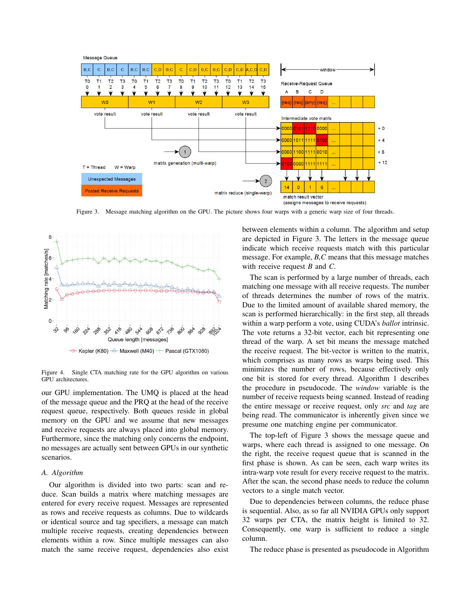

Figure 3. Message matching algorithm on the GPU. The picture shows four warps with a generic warp size of four threads.



· Kepler (K80)  $\triangle$  Maxwell (M40)  $+$  Pascal (GTX1080)

Figure 4. Single CTA matching rate for the GPU algorithm on various GPU architectures.

our GPU implementation. The UMQ is placed at the head of the message queue and the PRQ at the head of the receive request queue, respectively. Both queues reside in global memory on the GPU and we assume that new messages and receive requests are always placed into global memory. Furthermore, since the matching only concerns the endpoint, no messages are actually sent between GPUs in our synthetic scenarios.

## *A. Algorithm*

Our algorithm is divided into two parts: scan and reduce. Scan builds a matrix where matching messages are entered for every receive request. Messages are represented as rows and receive requests as columns. Due to wildcards or identical source and tag specifiers, a message can match multiple receive requests, creating dependencies between elements within a row. Since multiple messages can also match the same receive request, dependencies also exist between elements within a column. The algorithm and setup are depicted in Figure 3. The letters in the message queue indicate which receive requests match with this particular message. For example, *B,C* means that this message matches with receive request *B* and *C*.

The scan is performed by a large number of threads, each matching one message with all receive requests. The number of threads determines the number of rows of the matrix. Due to the limited amount of available shared memory, the scan is performed hierarchically: in the first step, all threads within a warp perform a vote, using CUDA's *ballot* intrinsic. The vote returns a 32-bit vector, each bit representing one thread of the warp. A set bit means the message matched the receive request. The bit-vector is written to the matrix, which comprises as many rows as warps being used. This minimizes the number of rows, because effectively only one bit is stored for every thread. Algorithm 1 describes the procedure in pseudocode. The *window* variable is the number of receive requests being scanned. Instead of reading the entire message or receive request, only *src* and *tag* are being read. The communicator is inherently given since we presume one matching engine per communicator.

The top-left of Figure 3 shows the message queue and warps, where each thread is assigned to one message. On the right, the receive request queue that is scanned in the first phase is shown. As can be seen, each warp writes its intra-warp vote result for every receive request to the matrix. After the scan, the second phase needs to reduce the column vectors to a single match vector.

Due to dependencies between columns, the reduce phase is sequential. Also, as so far all NVIDIA GPUs only support 32 warps per CTA, the matrix height is limited to 32. Consequently, one warp is sufficient to reduce a single column.

The reduce phase is presented as pseudocode in Algorithm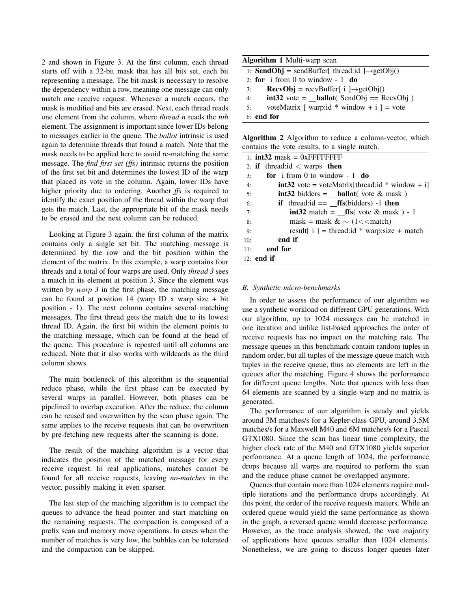2 and shown in Figure 3. At the first column, each thread starts off with a 32-bit mask that has all bits set, each bit representing a message. The bit-mask is necessary to resolve the dependency within a row, meaning one message can only match one receive request. Whenever a match occurs, the mask is modified and bits are erased. Next, each thread reads one element from the column, where *thread n* reads the *nth* element. The assignment is important since lower IDs belong to messages earlier in the queue. The *ballot* intrinsic is used again to determine threads that found a match. Note that the mask needs to be applied here to avoid re-matching the same message. The *find first set (ffs)* intrinsic returns the position of the first set bit and determines the lowest ID of the warp that placed its vote in the column. Again, lower IDs have higher priority due to ordering. Another *ffs* is required to identify the exact position of the thread within the warp that gets the match. Last, the appropriate bit of the mask needs to be erased and the next column can be reduced.

Looking at Figure 3 again, the first column of the matrix contains only a single set bit. The matching message is determined by the row and the bit position within the element of the matrix. In this example, a warp contains four threads and a total of four warps are used. Only *thread 3* sees a match in its element at position 3. Since the element was written by *warp 3* in the first phase, the matching message can be found at position 14 (warp ID x warp size  $+$  bit position - 1). The next column contains several matching messages. The first thread gets the match due to its lowest thread ID. Again, the first bit within the element points to the matching message, which can be found at the head of the queue. This procedure is repeated until all columns are reduced. Note that it also works with wildcards as the third column shows.

The main bottleneck of this algorithm is the sequential reduce phase, while the first phase can be executed by several warps in parallel. However, both phases can be pipelined to overlap execution. After the reduce, the column can be reused and overwritten by the scan phase again. The same applies to the receive requests that can be overwritten by pre-fetching new requests after the scanning is done.

The result of the matching algorithm is a vector that indicates the position of the matched message for every receive request. In real applications, matches cannot be found for all receive requests, leaving *no-matches* in the vector, possibly making it even sparser.

The last step of the matching algorithm is to compact the queues to advance the head pointer and start matching on the remaining requests. The compaction is composed of a prefix scan and memory move operations. In cases when the number of matches is very low, the bubbles can be tolerated and the compaction can be skipped.

| <b>Algorithm 1 Multi-warp scan</b>                                             |  |  |  |  |
|--------------------------------------------------------------------------------|--|--|--|--|
| 1: <b>SendObj</b> = sendBuffer[ thread:id $\rightarrow$ getObj()               |  |  |  |  |
| 2: for i from 0 to window $-1$ do                                              |  |  |  |  |
| <b>RecvObj</b> = recvBuffer[ i $\rightarrow$ getObj()<br>3:                    |  |  |  |  |
| $int32 \text{ vote} = \text{Deltalot}(\text{SendObj}) = \text{RecvObj})$<br>4: |  |  |  |  |
| voteMatrix [ warp:id * window + i ] = vote<br>5:                               |  |  |  |  |
| $61$ end for                                                                   |  |  |  |  |

Algorithm 2 Algorithm to reduce a column-vector, which contains the vote results, to a single match.

|                  | 1: $int32$ mask = 0xFFFFFFFF                         |  |  |  |  |
|------------------|------------------------------------------------------|--|--|--|--|
|                  | 2: if thread: $\mathrm{id}$ < warps then             |  |  |  |  |
| $\overline{3}$ : | for i from 0 to window $-1$ do                       |  |  |  |  |
| 4:               | $int32$ vote = voteMatrix[thread: $id$ * window + i] |  |  |  |  |
| 5:               | $int32$ bidders = <b>ballot</b> (vote & mask)        |  |  |  |  |
| 6:               | if thread: $id ==$ ffs(bidders) -1 then              |  |  |  |  |
| 7:               | $int32$ match = $_{effs}$ vote & mask ) - 1          |  |  |  |  |
| 8:               | mask = mask $\< (1 \lt \lt \text{match})$            |  |  |  |  |
| 9:               | result[ $i$ ] = thread: $id * warpsize + match$      |  |  |  |  |
| 10:              | end if                                               |  |  |  |  |
| 11:              | end for                                              |  |  |  |  |
|                  | $12:$ end if                                         |  |  |  |  |

#### *B. Synthetic micro-benchmarks*

In order to assess the performance of our algorithm we use a synthetic workload on different GPU generations. With our algorithm, up to 1024 messages can be matched in one iteration and unlike list-based approaches the order of receive requests has no impact on the matching rate. The message queues in this benchmark contain random tuples in random order, but all tuples of the message queue match with tuples in the receive queue, thus no elements are left in the queues after the matching. Figure 4 shows the performance for different queue lengths. Note that queues with less than 64 elements are scanned by a single warp and no matrix is generated.

The performance of our algorithm is steady and yields around 3M matches/s for a Kepler-class GPU, around 3.5M matches/s for a Maxwell M40 and 6M matches/s for a Pascal GTX1080. Since the scan has linear time complexity, the higher clock rate of the M40 and GTX1080 yields superior performance. At a queue length of 1024, the performance drops because all warps are required to perform the scan and the reduce phase cannot be overlapped anymore.

Queues that contain more than 1024 elements require multiple iterations and the performance drops accordingly. At this point, the order of the receive requests matters. While an ordered queue would yield the same performance as shown in the graph, a reversed queue would decrease performance. However, as the trace analysis showed, the vast majority of applications have queues smaller than 1024 elements. Nonetheless, we are going to discuss longer queues later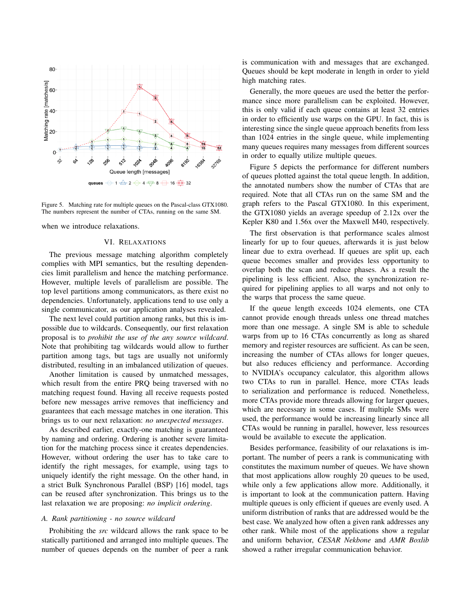

Figure 5. Matching rate for multiple queues on the Pascal-class GTX1080. The numbers represent the number of CTAs, running on the same SM.

when we introduce relaxations.

### VI. RELAXATIONS

The previous message matching algorithm completely complies with MPI semantics, but the resulting dependencies limit parallelism and hence the matching performance. However, multiple levels of parallelism are possible. The top level partitions among communicators, as there exist no dependencies. Unfortunately, applications tend to use only a single communicator, as our application analyses revealed.

The next level could partition among ranks, but this is impossible due to wildcards. Consequently, our first relaxation proposal is to *prohibit the use of the any source wildcard*. Note that prohibiting tag wildcards would allow to further partition among tags, but tags are usually not uniformly distributed, resulting in an imbalanced utilization of queues.

Another limitation is caused by unmatched messages, which result from the entire PRQ being traversed with no matching request found. Having all receive requests posted before new messages arrive removes that inefficiency and guarantees that each message matches in one iteration. This brings us to our next relaxation: *no unexpected messages*.

As described earlier, exactly-one matching is guaranteed by naming and ordering. Ordering is another severe limitation for the matching process since it creates dependencies. However, without ordering the user has to take care to identify the right messages, for example, using tags to uniquely identify the right message. On the other hand, in a strict Bulk Synchronous Parallel (BSP) [16] model, tags can be reused after synchronization. This brings us to the last relaxation we are proposing: *no implicit ordering*.

# *A. Rank partitioning - no source wildcard*

Prohibiting the *src* wildcard allows the rank space to be statically partitioned and arranged into multiple queues. The number of queues depends on the number of peer a rank is communication with and messages that are exchanged. Queues should be kept moderate in length in order to yield high matching rates.

Generally, the more queues are used the better the performance since more parallelism can be exploited. However, this is only valid if each queue contains at least 32 entries in order to efficiently use warps on the GPU. In fact, this is interesting since the single queue approach benefits from less than 1024 entries in the single queue, while implementing many queues requires many messages from different sources in order to equally utilize multiple queues.

Figure 5 depicts the performance for different numbers of queues plotted against the total queue length. In addition, the annotated numbers show the number of CTAs that are required. Note that all CTAs run on the same SM and the graph refers to the Pascal GTX1080. In this experiment, the GTX1080 yields an average speedup of 2.12x over the Kepler K80 and 1.56x over the Maxwell M40, respectively.

The first observation is that performance scales almost linearly for up to four queues, afterwards it is just below linear due to extra overhead. If queues are split up, each queue becomes smaller and provides less opportunity to overlap both the scan and reduce phases. As a result the pipelining is less efficient. Also, the synchronization required for pipelining applies to all warps and not only to the warps that process the same queue.

If the queue length exceeds 1024 elements, one CTA cannot provide enough threads unless one thread matches more than one message. A single SM is able to schedule warps from up to 16 CTAs concurrently as long as shared memory and register resources are sufficient. As can be seen, increasing the number of CTAs allows for longer queues, but also reduces efficiency and performance. According to NVIDIA's occupancy calculator, this algorithm allows two CTAs to run in parallel. Hence, more CTAs leads to serialization and performance is reduced. Nonetheless, more CTAs provide more threads allowing for larger queues, which are necessary in some cases. If multiple SMs were used, the performance would be increasing linearly since all CTAs would be running in parallel, however, less resources would be available to execute the application.

Besides performance, feasibility of our relaxations is important. The number of peers a rank is communicating with constitutes the maximum number of queues. We have shown that most applications allow roughly 20 queues to be used, while only a few applications allow more. Additionally, it is important to look at the communication pattern. Having multiple queues is only efficient if queues are evenly used. A uniform distribution of ranks that are addressed would be the best case. We analyzed how often a given rank addresses any other rank. While most of the applications show a regular and uniform behavior, *CESAR Nekbone* and *AMR Boxlib* showed a rather irregular communication behavior.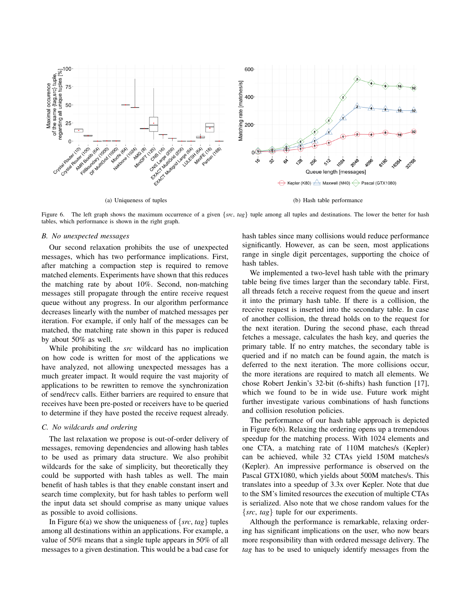

The left graph shows the maximum occurrence of a given  $\{src, tag\}$  tuple among all tuples and destinations. The lower the better for hash tables, which performance is shown in the right graph.

# *B. No unexpected messages*

Our second relaxation prohibits the use of unexpected messages, which has two performance implications. First, after matching a compaction step is required to remove matched elements. Experiments have shown that this reduces the matching rate by about 10%. Second, non-matching messages still propagate through the entire receive request queue without any progress. In our algorithm performance decreases linearly with the number of matched messages per iteration. For example, if only half of the messages can be matched, the matching rate shown in this paper is reduced by about 50% as well.

While prohibiting the *src* wildcard has no implication on how code is written for most of the applications we have analyzed, not allowing unexpected messages has a much greater impact. It would require the vast majority of applications to be rewritten to remove the synchronization of send/recv calls. Either barriers are required to ensure that receives have been pre-posted or receivers have to be queried to determine if they have posted the receive request already.

# *C. No wildcards and ordering*

The last relaxation we propose is out-of-order delivery of messages, removing dependencies and allowing hash tables to be used as primary data structure. We also prohibit wildcards for the sake of simplicity, but theoretically they could be supported with hash tables as well. The main benefit of hash tables is that they enable constant insert and search time complexity, but for hash tables to perform well the input data set should comprise as many unique values as possible to avoid collisions.

In Figure 6(a) we show the uniqueness of *{src*, *tag}* tuples among all destinations within an applications. For example, a value of 50% means that a single tuple appears in 50% of all messages to a given destination. This would be a bad case for hash tables since many collisions would reduce performance significantly. However, as can be seen, most applications range in single digit percentages, supporting the choice of hash tables.

We implemented a two-level hash table with the primary table being five times larger than the secondary table. First, all threads fetch a receive request from the queue and insert it into the primary hash table. If there is a collision, the receive request is inserted into the secondary table. In case of another collision, the thread holds on to the request for the next iteration. During the second phase, each thread fetches a message, calculates the hash key, and queries the primary table. If no entry matches, the secondary table is queried and if no match can be found again, the match is deferred to the next iteration. The more collisions occur, the more iterations are required to match all elements. We chose Robert Jenkin's 32-bit (6-shifts) hash function [17], which we found to be in wide use. Future work might further investigate various combinations of hash functions and collision resolution policies.

The performance of our hash table approach is depicted in Figure 6(b). Relaxing the ordering opens up a tremendous speedup for the matching process. With 1024 elements and one CTA, a matching rate of 110M matches/s (Kepler) can be achieved, while 32 CTAs yield 150M matches/s (Kepler). An impressive performance is observed on the Pascal GTX1080, which yields about 500M matches/s. This translates into a speedup of 3.3x over Kepler. Note that due to the SM's limited resources the execution of multiple CTAs is serialized. Also note that we chose random values for the *{src*, *tag}* tuple for our experiments.

Although the performance is remarkable, relaxing ordering has significant implications on the user, who now bears more responsibility than with ordered message delivery. The *tag* has to be used to uniquely identify messages from the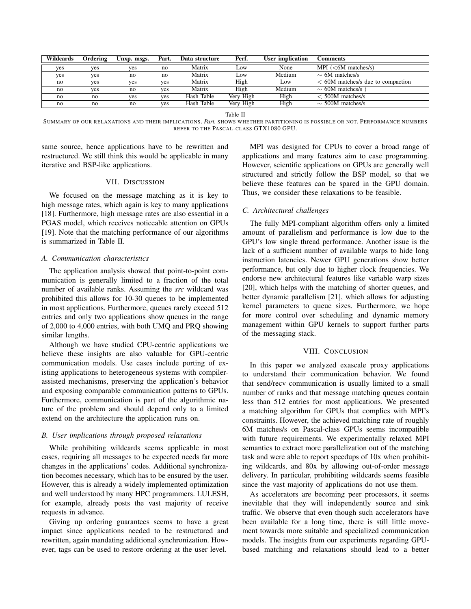| Wildcards | Ordering   | Unxp. msgs. | Part. | Data structure | Perf.     | User implication | Comments                          |
|-----------|------------|-------------|-------|----------------|-----------|------------------|-----------------------------------|
| yes       | yes        | yes         | no    | Matrix         | Low       | None             | $MPI$ ( $\leq 6M$ matches/s)      |
| yes       | yes        | no          | no    | Matrix         | Low       | Medium           | $\sim$ 6M matches/s               |
| no        | yes        | yes         | yes   | Matrix         | High      | Low              | < 60M matches/s due to compaction |
| no        | <b>ves</b> | no          | yes   | Matrix         | High      | Medium           | $\sim$ 60M matches/s)             |
| no        | no         | yes         | yes   | Hash Table     | Very High | High             | $<$ 500M matches/s                |
| no        | no         | no          | yes   | Hash Table     | Very High | High             | $\sim$ 500M matches/s             |

Table II

SUMMARY OF OUR RELAXATIONS AND THEIR IMPLICATIONS. *Part.* SHOWS WHETHER PARTITIONING IS POSSIBLE OR NOT. PERFORMANCE NUMBERS REFER TO THE PASCAL-CLASS GTX1080 GPU.

same source, hence applications have to be rewritten and restructured. We still think this would be applicable in many iterative and BSP-like applications.

# VII. DISCUSSION

We focused on the message matching as it is key to high message rates, which again is key to many applications [18]. Furthermore, high message rates are also essential in a PGAS model, which receives noticeable attention on GPUs [19]. Note that the matching performance of our algorithms is summarized in Table II.

## *A. Communication characteristics*

The application analysis showed that point-to-point communication is generally limited to a fraction of the total number of available ranks. Assuming the *src* wildcard was prohibited this allows for 10-30 queues to be implemented in most applications. Furthermore, queues rarely exceed 512 entries and only two applications show queues in the range of 2,000 to 4,000 entries, with both UMQ and PRQ showing similar lengths.

Although we have studied CPU-centric applications we believe these insights are also valuable for GPU-centric communication models. Use cases include porting of existing applications to heterogeneous systems with compilerassisted mechanisms, preserving the application's behavior and exposing comparable communication patterns to GPUs. Furthermore, communication is part of the algorithmic nature of the problem and should depend only to a limited extend on the architecture the application runs on.

## *B. User implications through proposed relaxations*

While prohibiting wildcards seems applicable in most cases, requiring all messages to be expected needs far more changes in the applications' codes. Additional synchronization becomes necessary, which has to be ensured by the user. However, this is already a widely implemented optimization and well understood by many HPC programmers. LULESH, for example, already posts the vast majority of receive requests in advance.

Giving up ordering guarantees seems to have a great impact since applications needed to be restructured and rewritten, again mandating additional synchronization. However, tags can be used to restore ordering at the user level.

MPI was designed for CPUs to cover a broad range of applications and many features aim to ease programming. However, scientific applications on GPUs are generally well structured and strictly follow the BSP model, so that we believe these features can be spared in the GPU domain. Thus, we consider these relaxations to be feasible.

# *C. Architectural challenges*

The fully MPI-compliant algorithm offers only a limited amount of parallelism and performance is low due to the GPU's low single thread performance. Another issue is the lack of a sufficient number of available warps to hide long instruction latencies. Newer GPU generations show better performance, but only due to higher clock frequencies. We endorse new architectural features like variable warp sizes [20], which helps with the matching of shorter queues, and better dynamic parallelism [21], which allows for adjusting kernel parameters to queue sizes. Furthermore, we hope for more control over scheduling and dynamic memory management within GPU kernels to support further parts of the messaging stack.

#### VIII. CONCLUSION

In this paper we analyzed exascale proxy applications to understand their communication behavior. We found that send/recv communication is usually limited to a small number of ranks and that message matching queues contain less than 512 entries for most applications. We presented a matching algorithm for GPUs that complies with MPI's constraints. However, the achieved matching rate of roughly 6M matches/s on Pascal-class GPUs seems incompatible with future requirements. We experimentally relaxed MPI semantics to extract more parallelization out of the matching task and were able to report speedups of 10x when prohibiting wildcards, and 80x by allowing out-of-order message delivery. In particular, prohibiting wildcards seems feasible since the vast majority of applications do not use them.

As accelerators are becoming peer processors, it seems inevitable that they will independently source and sink traffic. We observe that even though such accelerators have been available for a long time, there is still little movement towards more suitable and specialized communication models. The insights from our experiments regarding GPUbased matching and relaxations should lead to a better